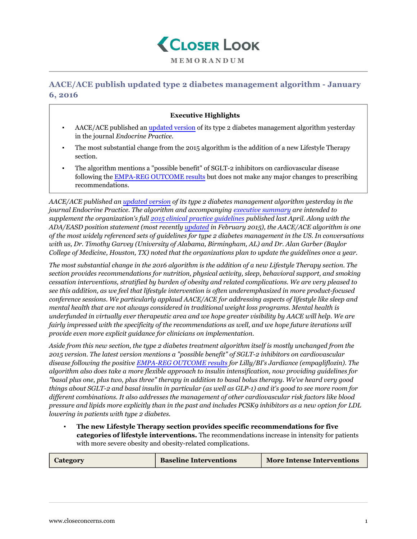

## **AACE/ACE publish updated type 2 diabetes management algorithm - January 6, 2016**

## **Executive Highlights**

- AACE/ACE published an [updated version](https://www.aace.com/publications/algorithm) of its type 2 diabetes management algorithm yesterday in the journal *Endocrine Practice.*
- The most substantial change from the 2015 algorithm is the addition of a new Lifestyle Therapy section.
- The algorithm mentions a "possible benefit" of SGLT-2 inhibitors on cardiovascular disease following the [EMPA-REG OUTCOME results](https://www.closeconcerns.com/knowledgebase/r/2d36c833#Symposium:_Results_of_the_EMPA-REG_OUTCOME_Study) but does not make any major changes to prescribing recommendations.

*AACE/ACE published an [updated version](https://www.aace.com/publications/algorithm) of its type 2 diabetes management algorithm yesterday in the journal Endocrine Practice. The algorithm and accompanying [executive summary](https://www.aace.com/sites/all/files/diabetes-algorithm-executive-summary.pdf) are intended to supplement the organization's full [2015 clinical practice guidelines](https://www.closeconcerns.com/knowledgebase/r/a630a982) published last April. Along with the ADA/EASD position statement (most recently [updated](https://www.closeconcerns.com/knowledgebase/r/c95140fd) in February 2015), the AACE/ACE algorithm is one of the most widely referenced sets of guidelines for type 2 diabetes management in the US. In conversations with us, Dr. Timothy Garvey (University of Alabama, Birmingham, AL) and Dr. Alan Garber (Baylor College of Medicine, Houston, TX) noted that the organizations plan to update the guidelines once a year.*

*The most substantial change in the 2016 algorithm is the addition of a new Lifestyle Therapy section. The section provides recommendations for nutrition, physical activity, sleep, behavioral support, and smoking cessation interventions, stratified by burden of obesity and related complications. We are very pleased to see this addition, as we feel that lifestyle intervention is often underemphasized in more product-focused conference sessions. We particularly applaud AACE/ACE for addressing aspects of lifestyle like sleep and mental health that are not always considered in traditional weight loss programs. Mental health is underfunded in virtually ever therapeutic area and we hope greater visibility by AACE will help. We are fairly impressed with the specificity of the recommendations as well, and we hope future iterations will provide even more explicit guidance for clinicians on implementation.*

*Aside from this new section, the type 2 diabetes treatment algorithm itself is mostly unchanged from the 2015 version. The latest version mentions a "possible benefit" of SGLT-2 inhibitors on cardiovascular disease following the positive [EMPA-REG OUTCOME results](https://www.closeconcerns.com/knowledgebase/r/2d36c833#Symposium:_Results_of_the_EMPA-REG_OUTCOME_Study) for Lilly/BI's Jardiance (empagliflozin). The algorithm also does take a more flexible approach to insulin intensification, now providing guidelines for "basal plus one, plus two, plus three" therapy in addition to basal bolus therapy. We've heard very good things about SGLT-2 and basal insulin in particular (as well as GLP-1) and it's good to see more room for different combinations. It also addresses the management of other cardiovascular risk factors like blood pressure and lipids more explicitly than in the past and includes PCSK9 inhibitors as a new option for LDL lowering in patients with type 2 diabetes.*

▪ **The new Lifestyle Therapy section provides specific recommendations for five categories of lifestyle interventions.** The recommendations increase in intensity for patients with more severe obesity and obesity-related complications.

| Category | <b>Baseline Interventions</b> | <b>More Intense Interventions</b> |
|----------|-------------------------------|-----------------------------------|
|          |                               |                                   |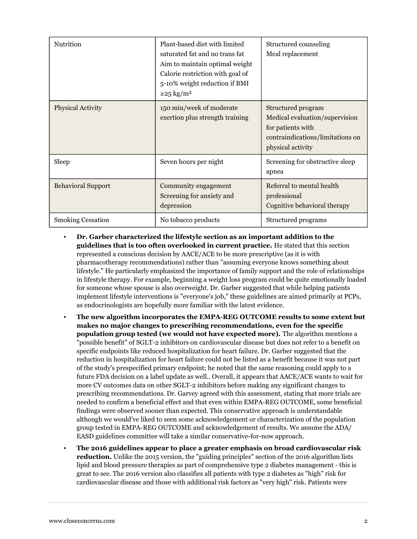| Nutrition                 | Plant-based diet with limited<br>saturated fat and no trans fat<br>Aim to maintain optimal weight<br>Calorie restriction with goal of<br>5-10% weight reduction if BMI<br>$\geq$ 25 kg/m <sup>2</sup> | Structured counseling<br>Meal replacement                                                                                          |
|---------------------------|-------------------------------------------------------------------------------------------------------------------------------------------------------------------------------------------------------|------------------------------------------------------------------------------------------------------------------------------------|
| <b>Physical Activity</b>  | 150 min/week of moderate<br>exertion plus strength training                                                                                                                                           | Structured program<br>Medical evaluation/supervision<br>for patients with<br>contraindications/limitations on<br>physical activity |
| Sleep                     | Seven hours per night                                                                                                                                                                                 | Screening for obstructive sleep<br>apnea                                                                                           |
| <b>Behavioral Support</b> | Community engagement<br>Screening for anxiety and<br>depression                                                                                                                                       | Referral to mental health<br>professional<br>Cognitive behavioral therapy                                                          |
| <b>Smoking Cessation</b>  | No tobacco products                                                                                                                                                                                   | Structured programs                                                                                                                |

- **Dr. Garber characterized the lifestyle section as an important addition to the guidelines that is too often overlooked in current practice.** He stated that this section represented a conscious decision by AACE/ACE to be more prescriptive (as it is with pharmacotherapy recommendations) rather than "assuming everyone knows something about lifestyle." He particularly emphasized the importance of family support and the role of relationships in lifestyle therapy. For example, beginning a weight loss program could be quite emotionally loaded for someone whose spouse is also overweight. Dr. Garber suggested that while helping patients implement lifestyle interventions is "everyone's job," these guidelines are aimed primarily at PCPs, as endocrinologists are hopefully more familiar with the latest evidence.
- **The new algorithm incorporates the EMPA-REG OUTCOME results to some extent but makes no major changes to prescribing recommendations, even for the specific population group tested (we would not have expected more).** The algorithm mentions a "possible benefit" of SGLT-2 inhibitors on cardiovascular disease but does not refer to a benefit on specific endpoints like reduced hospitalization for heart failure. Dr. Garber suggested that the reduction in hospitalization for heart failure could not be listed as a benefit because it was not part of the study's prespecified primary endpoint; he noted that the same reasoning could apply to a future FDA decision on a label update as well.. Overall, it appears that AACE/ACE wants to wait for more CV outcomes data on other SGLT-2 inhibitors before making any significant changes to prescribing recommendations. Dr. Garvey agreed with this assessment, stating that more trials are needed to confirm a beneficial effect and that even within EMPA-REG OUTCOME, some beneficial findings were observed sooner than expected. This conservative approach is understandable although we would've liked to seen some acknowledgement or characterization of the population group tested in EMPA-REG OUTCOME and acknowledgement of results. We assume the ADA/ EASD guidelines committee will take a similar conservative-for-now approach.
- **The 2016 guidelines appear to place a greater emphasis on broad cardiovascular risk reduction.** Unlike the 2015 version, the "guiding principles" section of the 2016 algorithm lists lipid and blood pressure therapies as part of comprehensive type 2 diabetes management - this is great to see. The 2016 version also classifies all patients with type 2 diabetes as "high" risk for cardiovascular disease and those with additional risk factors as "very high" risk. Patients were